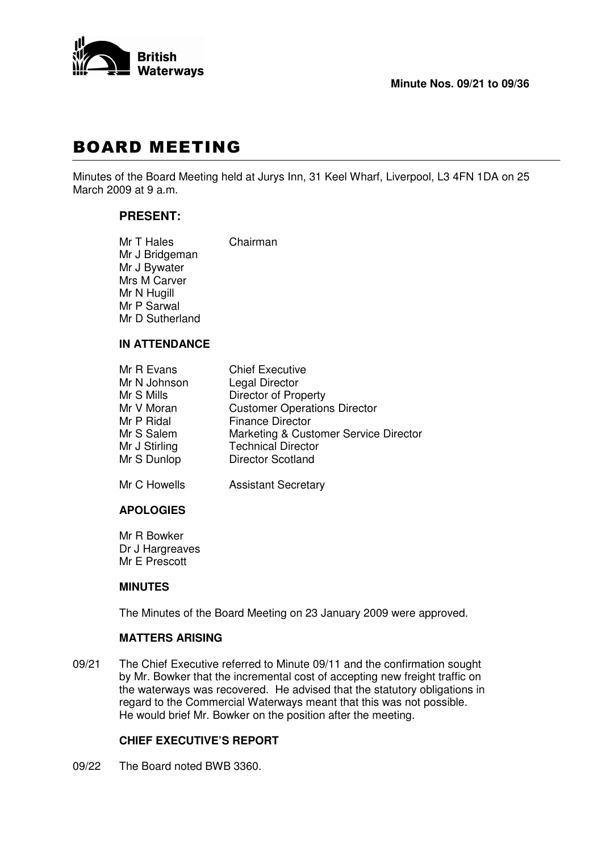

# **BOARD MEETING**

Minutes of the Board Meeting held at Jurys Inn, 31 Keel Wharf, Liverpool, L3 4FN 1DA on 25 March 2009 at 9 a.m.

# **PRESENT:**

| Mr T Hales      | Chairman |
|-----------------|----------|
| Mr J Bridgeman  |          |
| Mr J Bywater    |          |
| Mrs M Carver    |          |
| Mr N Hugill     |          |
| Mr P Sarwal     |          |
| Mr D Sutherland |          |
|                 |          |

# **IN ATTENDANCE**

| Mr R Evans    | <b>Chief Executive</b>                |
|---------------|---------------------------------------|
| Mr N Johnson  | Legal Director                        |
| Mr S Mills    | <b>Director of Property</b>           |
| Mr V Moran    | <b>Customer Operations Director</b>   |
| Mr P Ridal    | <b>Finance Director</b>               |
| Mr S Salem    | Marketing & Customer Service Director |
| Mr J Stirling | <b>Technical Director</b>             |
| Mr S Dunlop   | <b>Director Scotland</b>              |
| Mr C Howells  | <b>Assistant Secretary</b>            |

# **APOLOGIES**

Mr R Bowker Dr J Hargreaves Mr E Prescott

# **MINUTES**

The Minutes of the Board Meeting on 23 January 2009 were approved.

# **MATTERS ARISING**

09/21 The Chief Executive referred to Minute 09/11 and the confirmation sought by Mr. Bowker that the incremental cost of accepting new freight traffic on the waterways was recovered. He advised that the statutory obligations in regard to the Commercial Waterways meant that this was not possible. He would brief Mr. Bowker on the position after the meeting.

# **CHIEF EXECUTIVE'S REPORT**

09/22 The Board noted BWB 3360.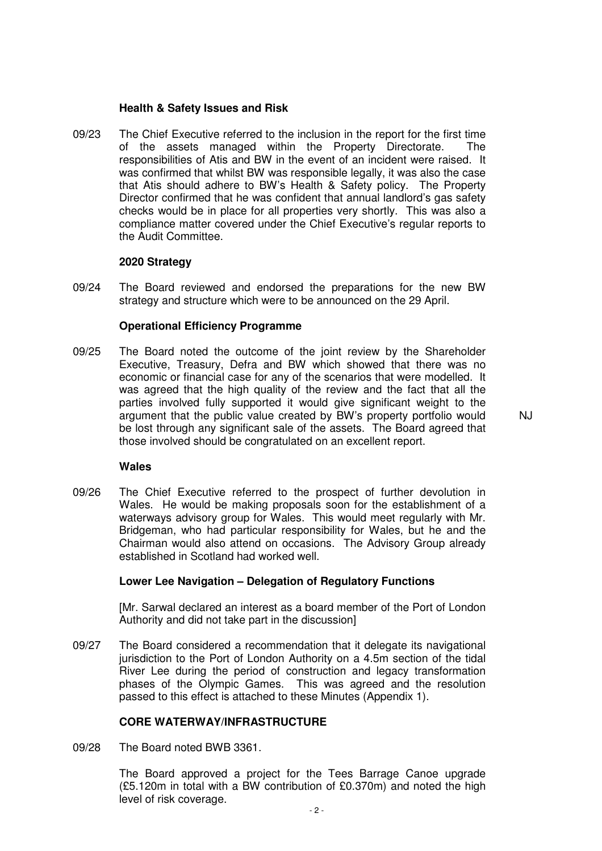#### **Health & Safety Issues and Risk**

09/23 The Chief Executive referred to the inclusion in the report for the first time of the assets managed within the Property Directorate. The responsibilities of Atis and BW in the event of an incident were raised. It was confirmed that whilst BW was responsible legally, it was also the case that Atis should adhere to BW's Health & Safety policy. The Property Director confirmed that he was confident that annual landlord's gas safety checks would be in place for all properties very shortly. This was also a compliance matter covered under the Chief Executive's regular reports to the Audit Committee.

#### **2020 Strategy**

09/24 The Board reviewed and endorsed the preparations for the new BW strategy and structure which were to be announced on the 29 April.

#### **Operational Efficiency Programme**

09/25 The Board noted the outcome of the joint review by the Shareholder Executive, Treasury, Defra and BW which showed that there was no economic or financial case for any of the scenarios that were modelled. It was agreed that the high quality of the review and the fact that all the parties involved fully supported it would give significant weight to the argument that the public value created by BW's property portfolio would be lost through any significant sale of the assets. The Board agreed that those involved should be congratulated on an excellent report.

NJ

#### **Wales**

09/26 The Chief Executive referred to the prospect of further devolution in Wales. He would be making proposals soon for the establishment of a waterways advisory group for Wales. This would meet regularly with Mr. Bridgeman, who had particular responsibility for Wales, but he and the Chairman would also attend on occasions. The Advisory Group already established in Scotland had worked well.

#### **Lower Lee Navigation – Delegation of Regulatory Functions**

[Mr. Sarwal declared an interest as a board member of the Port of London Authority and did not take part in the discussion]

09/27 The Board considered a recommendation that it delegate its navigational jurisdiction to the Port of London Authority on a 4.5m section of the tidal River Lee during the period of construction and legacy transformation phases of the Olympic Games. This was agreed and the resolution passed to this effect is attached to these Minutes (Appendix 1).

#### **CORE WATERWAY/INFRASTRUCTURE**

09/28 The Board noted BWB 3361.

The Board approved a project for the Tees Barrage Canoe upgrade (£5.120m in total with a BW contribution of £0.370m) and noted the high level of risk coverage.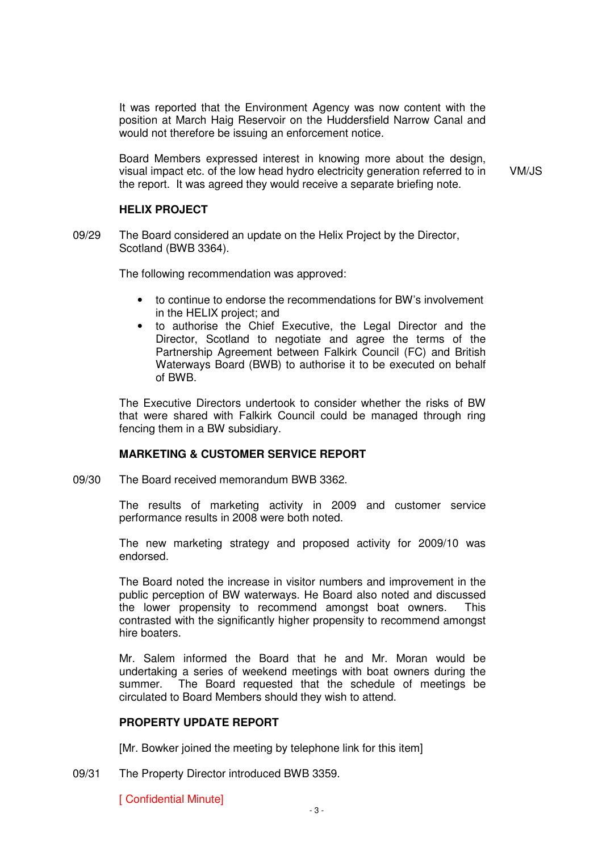It was reported that the Environment Agency was now content with the position at March Haig Reservoir on the Huddersfield Narrow Canal and would not therefore be issuing an enforcement notice.

Board Members expressed interest in knowing more about the design, visual impact etc. of the low head hydro electricity generation referred to in the report. It was agreed they would receive a separate briefing note.

VM/JS

#### **HELIX PROJECT**

09/29 The Board considered an update on the Helix Project by the Director, Scotland (BWB 3364).

The following recommendation was approved:

- to continue to endorse the recommendations for BW's involvement in the HELIX project; and
- to authorise the Chief Executive, the Legal Director and the Director, Scotland to negotiate and agree the terms of the Partnership Agreement between Falkirk Council (FC) and British Waterways Board (BWB) to authorise it to be executed on behalf of BWB.

The Executive Directors undertook to consider whether the risks of BW that were shared with Falkirk Council could be managed through ring fencing them in a BW subsidiary.

#### **MARKETING & CUSTOMER SERVICE REPORT**

09/30 The Board received memorandum BWB 3362.

The results of marketing activity in 2009 and customer service performance results in 2008 were both noted.

The new marketing strategy and proposed activity for 2009/10 was endorsed.

The Board noted the increase in visitor numbers and improvement in the public perception of BW waterways. He Board also noted and discussed the lower propensity to recommend amongst boat owners. This contrasted with the significantly higher propensity to recommend amongst hire boaters.

Mr. Salem informed the Board that he and Mr. Moran would be undertaking a series of weekend meetings with boat owners during the summer. The Board requested that the schedule of meetings be circulated to Board Members should they wish to attend.

#### **PROPERTY UPDATE REPORT**

[Mr. Bowker joined the meeting by telephone link for this item]

09/31 The Property Director introduced BWB 3359.

[ Confidential Minute]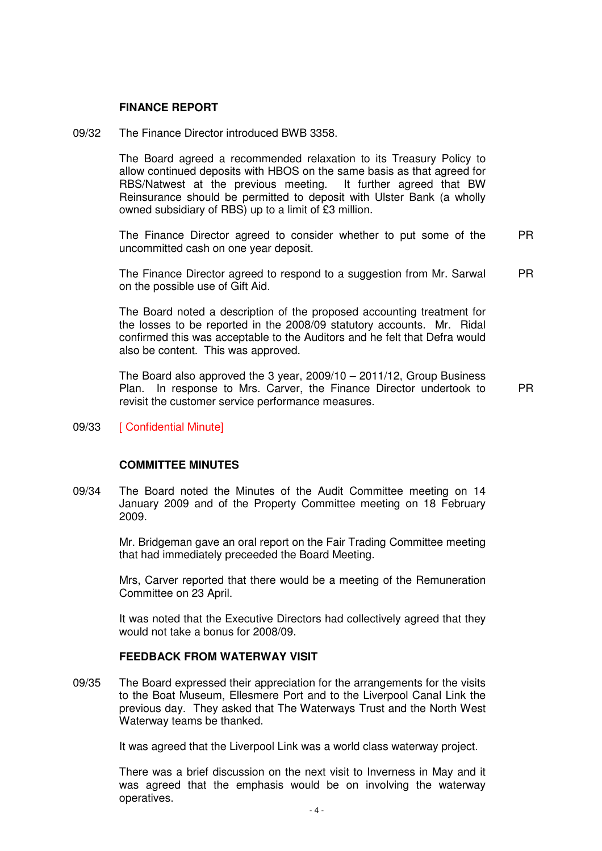#### **FINANCE REPORT**

09/32 The Finance Director introduced BWB 3358.

The Board agreed a recommended relaxation to its Treasury Policy to allow continued deposits with HBOS on the same basis as that agreed for RBS/Natwest at the previous meeting. It further agreed that BW Reinsurance should be permitted to deposit with Ulster Bank (a wholly owned subsidiary of RBS) up to a limit of £3 million.

The Finance Director agreed to consider whether to put some of the uncommitted cash on one year deposit. PR

The Finance Director agreed to respond to a suggestion from Mr. Sarwal on the possible use of Gift Aid. PR

The Board noted a description of the proposed accounting treatment for the losses to be reported in the 2008/09 statutory accounts. Mr. Ridal confirmed this was acceptable to the Auditors and he felt that Defra would also be content. This was approved.

The Board also approved the 3 year, 2009/10 – 2011/12, Group Business Plan. In response to Mrs. Carver, the Finance Director undertook to revisit the customer service performance measures.

PR

09/33 [ Confidential Minute]

#### **COMMITTEE MINUTES**

09/34 The Board noted the Minutes of the Audit Committee meeting on 14 January 2009 and of the Property Committee meeting on 18 February 2009.

> Mr. Bridgeman gave an oral report on the Fair Trading Committee meeting that had immediately preceeded the Board Meeting.

> Mrs, Carver reported that there would be a meeting of the Remuneration Committee on 23 April.

> It was noted that the Executive Directors had collectively agreed that they would not take a bonus for 2008/09.

#### **FEEDBACK FROM WATERWAY VISIT**

09/35 The Board expressed their appreciation for the arrangements for the visits to the Boat Museum, Ellesmere Port and to the Liverpool Canal Link the previous day. They asked that The Waterways Trust and the North West Waterway teams be thanked.

It was agreed that the Liverpool Link was a world class waterway project.

There was a brief discussion on the next visit to Inverness in May and it was agreed that the emphasis would be on involving the waterway operatives.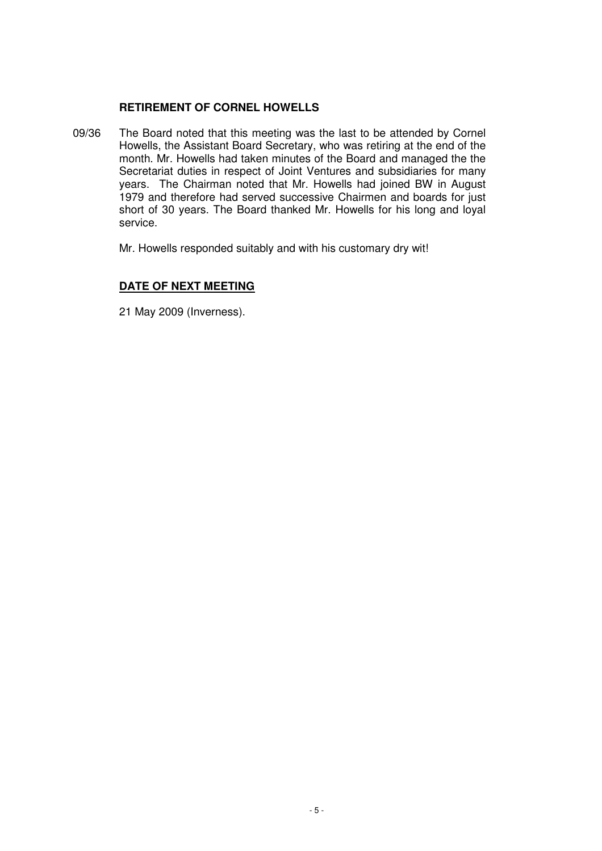# **RETIREMENT OF CORNEL HOWELLS**

09/36 The Board noted that this meeting was the last to be attended by Cornel Howells, the Assistant Board Secretary, who was retiring at the end of the month. Mr. Howells had taken minutes of the Board and managed the the Secretariat duties in respect of Joint Ventures and subsidiaries for many years. The Chairman noted that Mr. Howells had joined BW in August 1979 and therefore had served successive Chairmen and boards for just short of 30 years. The Board thanked Mr. Howells for his long and loyal service.

Mr. Howells responded suitably and with his customary dry wit!

# **DATE OF NEXT MEETING**

21 May 2009 (Inverness).